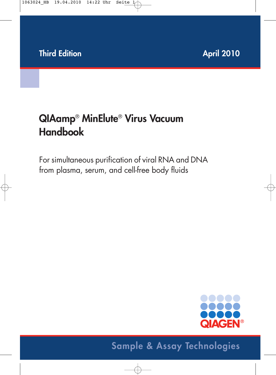# **QIAamp**® **MinElute**® **Virus Vacuum Handbook**

For simultaneous purification of viral RNA and DNA from plasma, serum, and cell-free body fluids



# **Sample & Assay Technologies**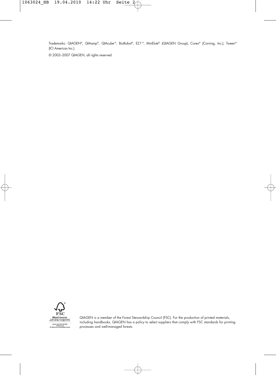Trademarks: QIAGEN®, QIAamp®, QIAcube™, BioRobot®, EZ1™, MinElute® (QIAGEN Group); Corex® (Corning, Inc.); Tween® (ICI Americas Inc.).

© 2002–2007 QIAGEN, all rights reserved.



QIAGEN is a member of the Forest Stewardship Council (FSC). For the production of printed materials, including handbooks, QIAGEN has a policy to select suppliers that comply with FSC standards for printing processes and well-managed forests.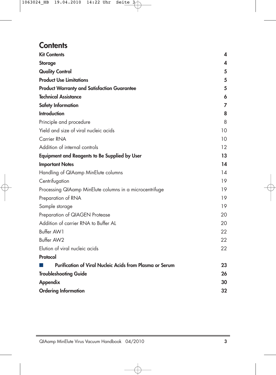### **Contents**

| <b>Kit Contents</b>                                      | 4  |
|----------------------------------------------------------|----|
| <b>Storage</b>                                           | 4  |
| <b>Quality Control</b>                                   | 5  |
| <b>Product Use Limitations</b>                           | 5  |
| <b>Product Warranty and Satisfaction Guarantee</b>       | 5  |
| <b>Technical Assistance</b>                              | 6  |
| <b>Safety Information</b>                                | 7  |
| <b>Introduction</b>                                      | 8  |
| Principle and procedure                                  | 8  |
| Yield and size of viral nucleic acids                    | 10 |
| Carrier RNA                                              | 10 |
| Addition of internal controls                            | 12 |
| <b>Equipment and Reagents to Be Supplied by User</b>     | 13 |
| <b>Important Notes</b>                                   | 14 |
| Handling of QIAamp MinElute columns                      | 14 |
| Centrifugation                                           | 19 |
| Processing QIAamp MinElute columns in a microcentrifuge  | 19 |
| Preparation of RNA                                       | 19 |
| Sample storage                                           | 19 |
| Preparation of QIAGEN Protease                           | 20 |
| Addition of carrier RNA to Buffer AL                     | 20 |
| Buffer AW1                                               | 22 |
| Buffer AW2                                               | 22 |
| Elution of viral nucleic acids                           | 22 |
| Protocol                                                 |    |
| Purification of Viral Nucleic Acids from Plasma or Serum | 23 |
| <b>Troubleshooting Guide</b>                             | 26 |
| <b>Appendix</b>                                          | 30 |
| <b>Ordering Information</b>                              | 32 |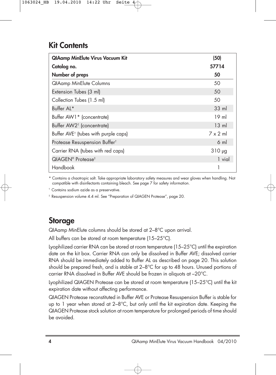## **Kit Contents**

| <b>QIAamp MinElute Virus Vacuum Kit</b>          | (50)            |
|--------------------------------------------------|-----------------|
| Catalog no.                                      | 57714           |
| Number of preps                                  | 50              |
| <b>QIAamp MinElute Columns</b>                   | 50              |
| Extension Tubes (3 ml)                           | 50              |
| Collection Tubes (1.5 ml)                        | 50              |
| Buffer AL*                                       | $33 \text{ ml}$ |
| Buffer AW1 * (concentrate)                       | $19$ m          |
| Buffer AW2 <sup>t</sup> (concentrate)            | $13 \text{ ml}$ |
| Buffer AVE <sup>†</sup> (tubes with purple caps) | $7 \times 2$ m  |
| Protease Resuspension Buffer <sup>t</sup>        | 6 ml            |
| Carrier RNA (tubes with red caps)                | $310 \mu g$     |
| QIAGEN <sup>®</sup> Protease <sup>‡</sup>        | 1 vial          |
| Handbook                                         |                 |

\* Contains a chaotropic salt. Take appropriate laboratory safety measures and wear gloves when handling. Not compatible with disinfectants containing bleach. See page 7 for safety information.

† Contains sodium azide as a preservative.

‡ Resuspension volume 4.4 ml. See "Preparation of QIAGEN Protease", page 20.

## **Storage**

QIAamp MinElute columns should be stored at 2–8°C upon arrival.

All buffers can be stored at room temperature (15–25°C).

Lyophilized carrier RNA can be stored at room temperature (15–25°C) until the expiration date on the kit box. Carrier RNA can only be dissolved in Buffer AVE; dissolved carrier RNA should be immediately added to Buffer AL as described on page 20. This solution should be prepared fresh, and is stable at  $2-8^{\circ}C$  for up to 48 hours. Unused portions of carrier RNA dissolved in Buffer AVE should be frozen in aliquots at –20°C.

Lyophilized QIAGEN Protease can be stored at room temperature (15–25°C) until the kit expiration date without affecting performance.

QIAGEN Protease reconstituted in Buffer AVE or Protease Resuspension Buffer is stable for up to 1 year when stored at  $2-8^{\circ}$ C, but only until the kit expiration date. Keeping the QIAGEN Protease stock solution at room temperature for prolonged periods of time should be avoided.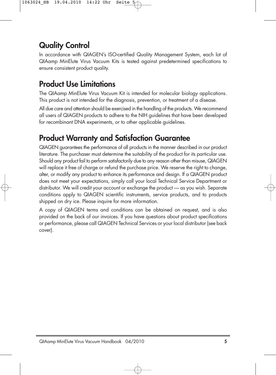## **Quality Control**

In accordance with QIAGEN's ISO-certified Quality Management System, each lot of QIAamp MinElute Virus Vacuum Kits is tested against predetermined specifications to ensure consistent product quality.

## **Product Use Limitations**

The QIAamp MinElute Virus Vacuum Kit is intended for molecular biology applications. This product is not intended for the diagnosis, prevention, or treatment of a disease.

All due care and attention should be exercised in the handling of the products. We recommend all users of QIAGEN products to adhere to the NIH guidelines that have been developed for recombinant DNA experiments, or to other applicable guidelines.

## **Product Warranty and Satisfaction Guarantee**

QIAGEN guarantees the performance of all products in the manner described in our product literature. The purchaser must determine the suitability of the product for its particular use. Should any product fail to perform satisfactorily due to any reason other than misuse, QIAGEN will replace it free of charge or refund the purchase price. We reserve the right to change, alter, or modify any product to enhance its performance and design. If a QIAGEN product does not meet your expectations, simply call your local Technical Service Department or distributor. We will credit your account or exchange the product — as you wish. Separate conditions apply to QIAGEN scientific instruments, service products, and to products shipped on dry ice. Please inquire for more information.

A copy of QIAGEN terms and conditions can be obtained on request, and is also provided on the back of our invoices. If you have questions about product specifications or performance, please call QIAGEN Technical Services or your local distributor (see back cover).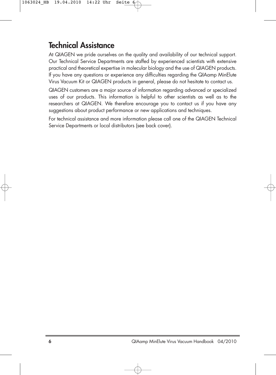## **Technical Assistance**

At QIAGEN we pride ourselves on the quality and availability of our technical support. Our Technical Service Departments are staffed by experienced scientists with extensive practical and theoretical expertise in molecular biology and the use of QIAGEN products. If you have any questions or experience any difficulties regarding the QIAamp MinElute Virus Vacuum Kit or QIAGEN products in general, please do not hesitate to contact us.

QIAGEN customers are a major source of information regarding advanced or specialized uses of our products. This information is helpful to other scientists as well as to the researchers at QIAGEN. We therefore encourage you to contact us if you have any suggestions about product performance or new applications and techniques.

For technical assistance and more information please call one of the QIAGEN Technical Service Departments or local distributors (see back cover).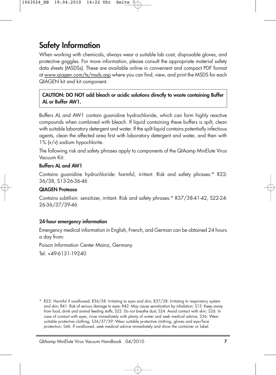## **Safety Information**

When working with chemicals, always wear a suitable lab coat, disposable gloves, and protective goggles. For more information, please consult the appropriate material safety data sheets (MSDSs). These are available online in convenient and compact PDF format at www.qiagen.com/ts/msds.asp where you can find, view, and print the MSDS for each QIAGEN kit and kit component.

#### **CAUTION: DO NOT add bleach or acidic solutions directly to waste containing Buffer AL or Buffer AW1.**

Buffers AL and AW1 contain guanidine hydrochloride, which can form highly reactive compounds when combined with bleach. If liquid containing these buffers is spilt, clean with suitable laboratory detergent and water. If the spilt liquid contains potentially infectious agents, clean the affected area first with laboratory detergent and water, and then with 1% (v/v) sodium hypochlorite.

The following risk and safety phrases apply to components of the QIAamp MinElute Virus Vacuum Kit:

#### **Buffers AL and AW1**

Contains guanidine hydrochloride: harmful, irritant. Risk and safety phrases:\* R22- 36/38, S13-26-36-46

#### **QIAGEN Protease**

Contains subtilisin: sensitizer, irritant. Risk and safety phrases:\* R37/38-41-42, S22-24- 26-36/37/39-46

### **24-hour emergency information**

Emergency medical information in English, French, and German can be obtained 24 hours a day from:

Poison Information Center Mainz, Germany

Tel: +49-6131-19240

\* R22: Harmful if swallowed; R36/38: Irritating to eyes and skin; R37/38: Irritating to respiratory system and skin; R41: Risk of serious damage to eyes; R42: May cause sensitization by inhalation; S13: Keep away from food, drink and animal feeding stuffs; S22: Do not breathe dust; S24: Avoid contact with skin; S26: In case of contact with eyes, rinse immediately with plenty of water and seek medical advice; S36: Wear suitable protective clothing; S36/37/39: Wear suitable protective clothing, gloves and eye/face protection; S46: If swallowed, seek medical advice immediately and show the container or label.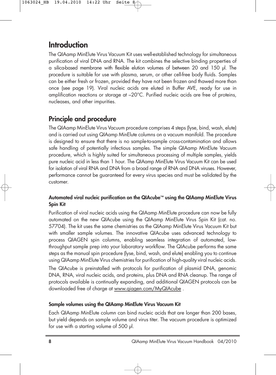## **Introduction**

The QIAamp MinElute Virus Vacuum Kit uses well-established technology for simultaneous purification of viral DNA and RNA. The kit combines the selective binding properties of a silica-based membrane with flexible elution volumes of between 20 and 150 µl. The procedure is suitable for use with plasma, serum, or other cell-free body fluids. Samples can be either fresh or frozen, provided they have not been frozen and thawed more than once (see page 19). Viral nucleic acids are eluted in Buffer AVE, ready for use in amplification reactions or storage at –20°C. Purified nucleic acids are free of proteins, nucleases, and other impurities.

### **Principle and procedure**

The QIAamp MinElute Virus Vacuum procedure comprises 4 steps (lyse, bind, wash, elute) and is carried out using QIAamp MinElute columns on a vacuum manifold. The procedure is designed to ensure that there is no sample-to-sample cross-contamination and allows safe handling of potentially infectious samples. The simple QIAamp MinElute Vacuum procedure, which is highly suited for simultaneous processing of multiple samples, yields pure nucleic acid in less than 1 hour. The QIAamp MinElute Virus Vacuum Kit can be used for isolation of viral RNA and DNA from a broad range of RNA and DNA viruses. However, performance cannot be guaranteed for every virus species and must be validated by the customer.

### **Automated viral nucleic purification on the QIAcube™ using the QIAamp MinElute Virus Spin Kit**

Purification of viral nucleic acids using the QIAamp MinElute procedure can now be fully automated on the new QIAcube using the QIAamp MinElute Virus Spin Kit (cat. no. 57704). The kit uses the same chemistries as the QIAamp MinElute Virus Vacuum Kit but with smaller sample volumes. The innovative QIAcube uses advanced technology to process QIAGEN spin columns, enabling seamless integration of automated, lowthroughput sample prep into your laboratory workflow. The QIAcube performs the same steps as the manual spin procedure (lyse, bind, wash, and elute) enabling you to continue using QIAamp MinElute Virus chemistries for purification of high-quality viral nucleic acids.

The QIAcube is preinstalled with protocols for purification of plasmid DNA, genomic DNA, RNA, viral nucleic acids, and proteins, plus DNA and RNA cleanup. The range of protocols available is continually expanding, and additional QIAGEN protocols can be downloaded free of charge at www.qiagen.com/MyQIAcube .

### **Sample volumes using the QIAamp MinElute Virus Vacuum Kit**

Each QIAamp MinElute column can bind nucleic acids that are longer than 200 bases, but yield depends on sample volume and virus titer. The vacuum procedure is optimized for use with a starting volume of 500 µl.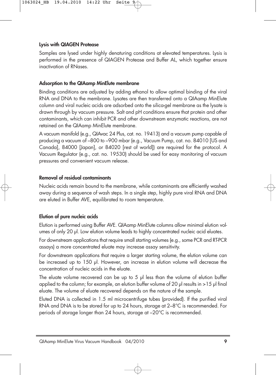#### **Lysis with QIAGEN Protease**

Samples are lysed under highly denaturing conditions at elevated temperatures. Lysis is performed in the presence of QIAGEN Protease and Buffer AL, which together ensure inactivation of RNases.

#### **Adsorption to the QIAamp MinElute membrane**

Binding conditions are adjusted by adding ethanol to allow optimal binding of the viral RNA and DNA to the membrane. Lysates are then transferred onto a QIAamp MinElute column and viral nucleic acids are adsorbed onto the silica-gel membrane as the lysate is drawn through by vacuum pressure. Salt and pH conditions ensure that protein and other contaminants, which can inhibit PCR and other downstream enzymatic reactions, are not retained on the QIAamp MinElute membrane.

A vacuum manifold (e.g., QIAvac 24 Plus, cat. no. 19413) and a vacuum pump capable of producing a vacuum of –800 to –900 mbar (e.g., Vacuum Pump, cat. no. 84010 [US and Canada], 84000 [Japan], or 84020 [rest of world]) are required for the protocol. A Vacuum Regulator (e.g., cat. no. 19530) should be used for easy monitoring of vacuum pressures and convenient vacuum release.

### **Removal of residual contaminants**

Nucleic acids remain bound to the membrane, while contaminants are efficiently washed away during a sequence of wash steps. In a single step, highly pure viral RNA and DNA are eluted in Buffer AVE, equilibrated to room temperature.

### **Elution of pure nucleic acids**

Elution is performed using Buffer AVE. QIAamp MinElute columns allow minimal elution volumes of only 20 µl. Low elution volume leads to highly concentrated nucleic acid eluates.

For downstream applications that require small starting volumes (e.g., some PCR and RT-PCR assays) a more concentrated eluate may increase assay sensitivity.

For downstream applications that require a larger starting volume, the elution volume can be increased up to 150 µl. However, an increase in elution volume will decrease the concentration of nucleic acids in the eluate.

The eluate volume recovered can be up to 5 µl less than the volume of elution buffer applied to the column; for example, an elution buffer volume of 20 µl results in >15 µl final eluate. The volume of eluate recovered depends on the nature of the sample.

Eluted DNA is collected in 1.5 ml microcentrifuge tubes (provided). If the purified viral RNA and DNA is to be stored for up to 24 hours, storage at 2–8°C is recommended. For periods of storage longer than 24 hours, storage at –20°C is recommended.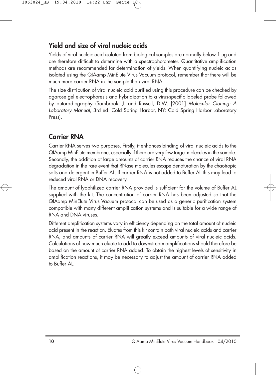### **Yield and size of viral nucleic acids**

Yields of viral nucleic acid isolated from biological samples are normally below 1 µg and are therefore difficult to determine with a spectrophotometer. Quantitative amplification methods are recommended for determination of yields. When quantifying nucleic acids isolated using the QIAamp MinElute Virus Vacuum protocol, remember that there will be much more carrier RNA in the sample than viral RNA.

The size distribution of viral nucleic acid purified using this procedure can be checked by agarose gel electrophoresis and hybridization to a virus-specific labeled probe followed by autoradiography (Sambrook, J. and Russell, D.W. [2001] Molecular Cloning: A Laboratory Manual, 3rd ed. Cold Spring Harbor, NY: Cold Spring Harbor Laboratory Press).

### **Carrier RNA**

Carrier RNA serves two purposes. Firstly, it enhances binding of viral nucleic acids to the QIAamp MinElute membrane, especially if there are very few target molecules in the sample. Secondly, the addition of large amounts of carrier RNA reduces the chance of viral RNA degradation in the rare event that RNase molecules escape denaturation by the chaotropic salts and detergent in Buffer AL. If carrier RNA is not added to Buffer AL this may lead to reduced viral RNA or DNA recovery.

The amount of lyophilized carrier RNA provided is sufficient for the volume of Buffer AL supplied with the kit. The concentration of carrier RNA has been adjusted so that the QIAamp MinElute Virus Vacuum protocol can be used as a generic purification system compatible with many different amplification systems and is suitable for a wide range of RNA and DNA viruses.

Different amplification systems vary in efficiency depending on the total amount of nucleic acid present in the reaction. Eluates from this kit contain both viral nucleic acids and carrier RNA, and amounts of carrier RNA will greatly exceed amounts of viral nucleic acids. Calculations of how much eluate to add to downstream amplifications should therefore be based on the amount of carrier RNA added. To obtain the highest levels of sensitivity in amplification reactions, it may be necessary to adjust the amount of carrier RNA added to Buffer AL.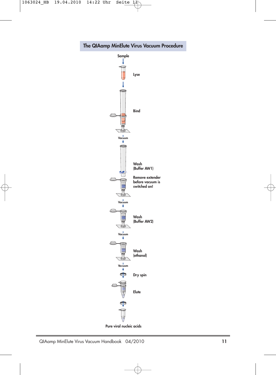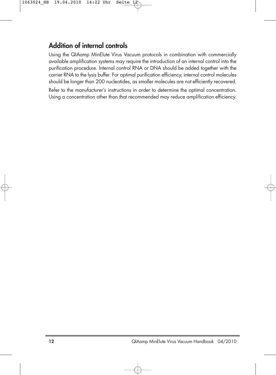### **Addition of internal controls**

Using the QIAamp MinElute Virus Vacuum protocols in combination with commercially available amplification systems may require the introduction of an internal control into the purification procedure. Internal control RNA or DNA should be added together with the carrier RNA to the lysis buffer. For optimal purification efficiency, internal control molecules should be longer than 200 nucleotides, as smaller molecules are not efficiently recovered.

Refer to the manufacturer's instructions in order to determine the optimal concentration. Using a concentration other than that recommended may reduce amplification efficiency.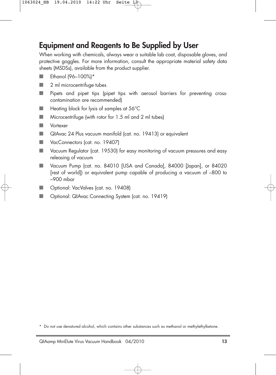## **Equipment and Reagents to Be Supplied by User**

When working with chemicals, always wear a suitable lab coat, disposable gloves, and protective goggles. For more information, consult the appropriate material safety data sheets (MSDSs), available from the product supplier.

- Ethanol (96-100%)\*
- 2 ml microcentrifuge tubes
- Pipets and pipet tips (pipet tips with aerosol barriers for preventing crosscontamination are recommended)
- Heating block for lysis of samples at 56°C
- Microcentrifuge (with rotor for 1.5 ml and 2 ml tubes)
- Vortexer
- QIAvac 24 Plus vacuum manifold (cat. no. 19413) or equivalent
- VacConnectors (cat. no. 19407)
- Vacuum Regulator (cat. 19530) for easy monitoring of vacuum pressures and easy releasing of vacuum
- Vacuum Pump (cat. no. 84010 [USA and Canada], 84000 [Japan], or 84020 [rest of world]) or equivalent pump capable of producing a vacuum of –800 to –900 mbar
- Optional: VacValves (cat. no. 19408)
- Optional: QIAvac Connecting System (cat. no. 19419)

<sup>\*</sup> Do not use denatured alcohol, which contains other substances such as methanol or methylethylketone.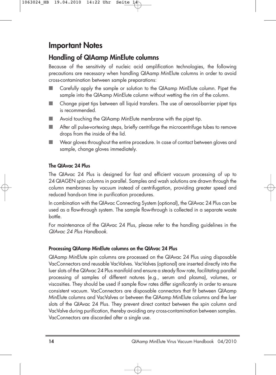### **Important Notes**

### **Handling of QIAamp MinElute columns**

Because of the sensitivity of nucleic acid amplification technologies, the following precautions are necessary when handling QIAamp MinElute columns in order to avoid cross-contamination between sample preparations:

- Carefully apply the sample or solution to the QIAamp MinElute column. Pipet the sample into the QIAamp MinElute column without wetting the rim of the column.
- Change pipet tips between all liquid transfers. The use of aerosol-barrier pipet tips is recommended.
- Avoid touching the QIAamp MinElute membrane with the pipet tip.
- After all pulse-vortexing steps, briefly centrifuge the microcentrifuge tubes to remove drops from the inside of the lid.
- Wear gloves throughout the entire procedure. In case of contact between gloves and sample, change gloves immediately.

### **The QIAvac 24 Plus**

The QIAvac 24 Plus is designed for fast and efficient vacuum processing of up to 24 QIAGEN spin columns in parallel. Samples and wash solutions are drawn through the column membranes by vacuum instead of centrifugation, providing greater speed and reduced hands-on time in purification procedures.

In combination with the QIAvac Connecting System (optional), the QIAvac 24 Plus can be used as a flow-through system. The sample flow-through is collected in a separate waste bottle.

For maintenance of the QIAvac 24 Plus, please refer to the handling guidelines in the QIAvac 24 Plus Handbook.

### **Processing QIAamp MinElute columns on the QIAvac 24 Plus**

QIAamp MinElute spin columns are processed on the QIAvac 24 Plus using disposable VacConnectors and reusable VacValves. VacValves (optional) are inserted directly into the luer slots of the QIAvac 24 Plus manifold and ensure a steady flow rate, facilitating parallel processing of samples of different natures (e.g., serum and plasma), volumes, or viscosities. They should be used if sample flow rates differ significantly in order to ensure consistent vacuum. VacConnectors are disposable connectors that fit between QIAamp MinElute columns and VacValves or between the QIAamp MinElute columns and the luer slots of the QIAvac 24 Plus. They prevent direct contact between the spin column and VacValve during purification, thereby avoiding any cross-contamination between samples. VacConnectors are discarded after a single use.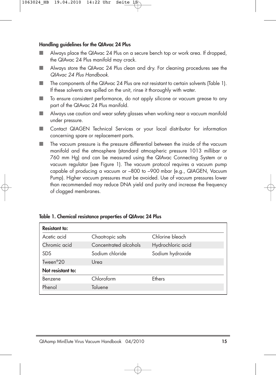#### **Handling guidelines for the QIAvac 24 Plus**

- Always place the QIAvac 24 Plus on a secure bench top or work area. If dropped, the QIAvac 24 Plus manifold may crack.
- Always store the QIAvac 24 Plus clean and dry. For cleaning procedures see the QIAvac 24 Plus Handbook.
- The components of the QIAvac 24 Plus are not resistant to certain solvents (Table 1). If these solvents are spilled on the unit, rinse it thoroughly with water.
- To ensure consistent performance, do not apply silicone or vacuum grease to any part of the QIAvac 24 Plus manifold.
- Always use caution and wear safety glasses when working near a vacuum manifold under pressure.
- Contact QIAGEN Technical Services or your local distributor for information concerning spare or replacement parts.
- The vacuum pressure is the pressure differential between the inside of the vacuum manifold and the atmosphere (standard atmospheric pressure 1013 millibar or 760 mm Hg) and can be measured using the QIAvac Connecting System or a vacuum regulator (see Figure 1). The vacuum protocol requires a vacuum pump capable of producing a vacuum or –800 to –900 mbar (e.g., QIAGEN, Vacuum Pump). Higher vacuum pressures must be avoided. Use of vacuum pressures lower than recommended may reduce DNA yield and purity and increase the frequency of clogged membranes.

|  |  |  | Table 1. Chemical resistance properties of QIAvac 24 Plus |
|--|--|--|-----------------------------------------------------------|
|--|--|--|-----------------------------------------------------------|

| Chaotropic salts      | Chlorine bleach   |
|-----------------------|-------------------|
| Concentrated alcohols | Hydrochloric acid |
| Sodium chloride       | Sodium hydroxide  |
| Urea                  |                   |
|                       |                   |
| Chloroform            | <b>Fthers</b>     |
| Toluene               |                   |
|                       |                   |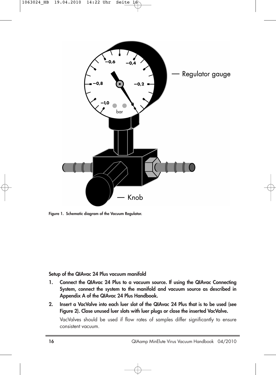

**Figure 1. Schematic diagram of the Vacuum Regulator.**

#### **Setup of the QIAvac 24 Plus vacuum manifold**

- **1. Connect the QIAvac 24 Plus to a vacuum source. If using the QIAvac Connecting System, connect the system to the manifold and vacuum source as described in Appendix A of the QIAvac 24 Plus Handbook.**
- **2. Insert a VacValve into each luer slot of the QIAvac 24 Plus that is to be used (see Figure 2). Close unused luer slots with luer plugs or close the inserted VacValve.**

VacValves should be used if flow rates of samples differ significantly to ensure consistent vacuum.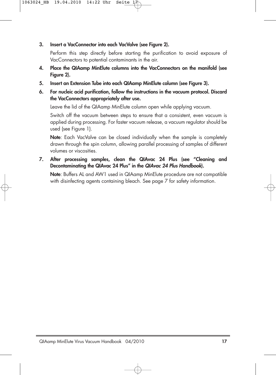#### **3. Insert a VacConnector into each VacValve (see Figure 2).**

Perform this step directly before starting the purification to avoid exposure of VacConnectors to potential contaminants in the air.

- **4. Place the QIAamp MinElute columns into the VacConnectors on the manifold (see Figure 2).**
- **5. Insert an Extension Tube into each QIAamp MinElute column (see Figure 3).**
- **6. For nucleic acid purification, follow the instructions in the vacuum protocol. Discard the VacConnectors appropriately after use.**

Leave the lid of the QIAamp MinElute column open while applying vacuum.

Switch off the vacuum between steps to ensure that a consistent, even vacuum is applied during processing. For faster vacuum release, a vacuum regulator should be used (see Figure 1).

**Note**: Each VacValve can be closed individually when the sample is completely drawn through the spin column, allowing parallel processing of samples of different volumes or viscosities.

**7. After processing samples, clean the QIAvac 24 Plus (see "Cleaning and Decontaminating the QIAvac 24 Plus" in the QIAvac 24 Plus Handbook).**

**Note**: Buffers AL and AW1 used in QIAamp MinElute procedure are not compatible with disinfecting agents containing bleach. See page 7 for safety information.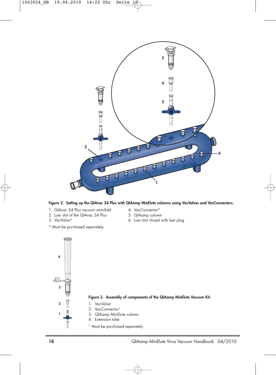

**Figure 2. Setting up the QIAvac 24 Plus with QIAamp MinElute columns using VacValves and VacConnectors.**

1. QIAvac 24 Plus vacuum manifold 4. VacConnector\*<br>2. Luer slot of the QIAvac 24 Plus 5. QIAamp column 2. Luer slot of the QIAvac 24 Plus<br>3. VacValve\*

\* Must be purchased separately.

- 
- 
- 6. Luer slot closed with luer plug



- **Figure 3. Assembly of components of the QIAamp MinElute Vacuum Kit.**
- 1. VacValve†
- 2. VacConnector†
- 3. QIAamp MinElute column
- 4. Extension tube
- † Must be purchased separately.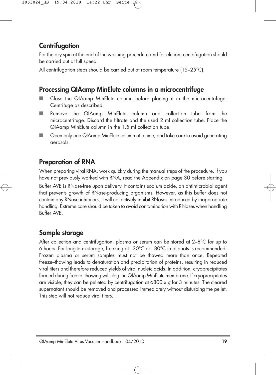### **Centrifugation**

For the dry spin at the end of the washing procedure and for elution, centrifugation should be carried out at full speed.

All centrifugation steps should be carried out at room temperature (15–25°C).

### **Processing QIAamp MinElute columns in a microcentrifuge**

- Close the QIAamp MinElute column before placing it in the microcentrifuge. Centrifuge as described.
- Remove the QIAamp MinElute column and collection tube from the microcentrifuge. Discard the filtrate and the used 2 ml collection tube. Place the QIAamp MinElute column in the 1.5 ml collection tube.
- Open only one QIAamp MinElute column at a time, and take care to avoid generating aerosols.

### **Preparation of RNA**

When preparing viral RNA, work quickly during the manual steps of the procedure. If you have not previously worked with RNA, read the Appendix on page 30 before starting.

Buffer AVE is RNase-free upon delivery. It contains sodium azide, an antimicrobial agent that prevents growth of RNase-producing organisms. However, as this buffer does not contain any RNase inhibitors, it will not actively inhibit RNases introduced by inappropriate handling. Extreme care should be taken to avoid contamination with RNases when handling Buffer AVE.

### **Sample storage**

After collection and centrifugation, plasma or serum can be stored at 2–8°C for up to 6 hours. For long-term storage, freezing at –20°C or –80°C in aliquots is recommended. Frozen plasma or serum samples must not be thawed more than once. Repeated freeze–thawing leads to denaturation and precipitation of proteins, resulting in reduced viral titers and therefore reduced yields of viral nucleic acids. In addition, cryoprecipitates formed during freeze–thawing will clog the QIAamp MinElute membrane. If cryoprecipitates are visible, they can be pelleted by centrifugation at 6800  $\times$  g for 3 minutes. The cleared supernatant should be removed and processed immediately without disturbing the pellet. This step will not reduce viral titers.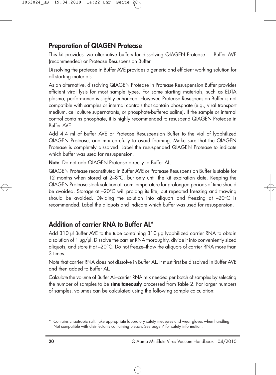### **Preparation of QIAGEN Protease**

This kit provides two alternative buffers for dissolving QIAGEN Protease — Buffer AVE (recommended) or Protease Resuspension Buffer.

Dissolving the protease in Buffer AVE provides a generic and efficient working solution for all starting materials.

As an alternative, dissolving QIAGEN Protease in Protease Resuspension Buffer provides efficient viral lysis for most sample types. For some starting materials, such as EDTA plasma, performance is slightly enhanced. However, Protease Resuspension Buffer is not compatible with samples or internal controls that contain phosphate (e.g., viral transport medium, cell culture supernatants, or phosphate-buffered saline). If the sample or internal control contains phosphate, it is highly recommended to resuspend QIAGEN Protease in Buffer AVE.

Add 4.4 ml of Buffer AVE or Protease Resuspension Buffer to the vial of lyophilized QIAGEN Protease, and mix carefully to avoid foaming. Make sure that the QIAGEN Protease is completely dissolved. Label the resuspended QIAGEN Protease to indicate which buffer was used for resuspension.

**Note**: Do not add QIAGEN Protease directly to Buffer AL.

QIAGEN Protease reconstituted in Buffer AVE or Protease Resuspension Buffer is stable for 12 months when stored at 2–8°C, but only until the kit expiration date. Keeping the QIAGEN Protease stock solution at room temperature for prolonged periods of time should be avoided. Storage at –20°C will prolong its life, but repeated freezing and thawing should be avoided. Dividing the solution into aliquots and freezing at –20°C is recommended. Label the aliquots and indicate which buffer was used for resuspension.

### **Addition of carrier RNA to Buffer AL\***

Add 310 µl Buffer AVE to the tube containing 310 µg lyophilized carrier RNA to obtain a solution of 1 µg/µl. Dissolve the carrier RNA thoroughly, divide it into conveniently sized aliquots, and store it at –20°C. Do not freeze–thaw the aliquots of carrier RNA more than 3 times.

Note that carrier RNA does not dissolve in Buffer AL. It must first be dissolved in Buffer AVE and then added to Buffer AL.

Calculate the volume of Buffer AL–carrier RNA mix needed per batch of samples by selecting the number of samples to be **simultaneously** processed from Table 2. For larger numbers of samples, volumes can be calculated using the following sample calculation:

<sup>\*</sup> Contains chaotropic salt. Take appropriate laboratory safety measures and wear gloves when handling. Not compatible with disinfectants containing bleach. See page 7 for safety information.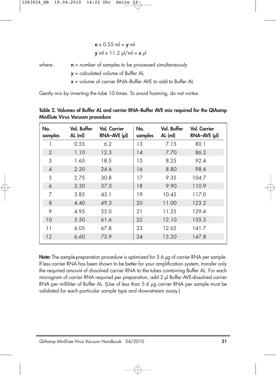$$
\mathbf{n} \times 0.55 \text{ ml} = \mathbf{y} \text{ ml}
$$

$$
\mathbf{y} \text{ ml} \times 11.2 \text{ pl/ml} = \mathbf{z} \text{ pl}
$$

where: **n** = number of samples to be processed simultaneously

**y** = calculated volume of Buffer AL

**z** = volume of carrier RNA–Buffer AVE to add to Buffer AL

Gently mix by inverting the tube 10 times. To avoid foaming, do not vortex.

| No.<br>samples | Vol. Buffer<br>$AL$ (ml) | <b>Vol. Carrier</b><br>$RNA-AVE (pl)$ | No.<br>samples | Vol. Buffer<br>$AL$ (ml) | <b>Vol. Carrier</b><br>RNA-AVE (µl) |
|----------------|--------------------------|---------------------------------------|----------------|--------------------------|-------------------------------------|
| 1              | 0.55                     | 6.2                                   | 13             | 7.15                     | 80.1                                |
| $\overline{2}$ | 1.10                     | 12.3                                  | 14             | 7.70                     | 86.2                                |
| 3              | 1.65                     | 18.5                                  | 15             | 8.25                     | 92.4                                |
| $\overline{4}$ | 2.20                     | 24.6                                  | 16             | 8.80                     | 98.6                                |
| 5              | 2.75                     | 30.8                                  | 17             | 9.35                     | 104.7                               |
| 6              | 3.30                     | 37.0                                  | 18             | 9.90                     | 110.9                               |
| 7              | 3.85                     | 43.1                                  | 19             | 10.45                    | 117.0                               |
| 8              | 4.40                     | 49.3                                  | 20             | 11.00                    | 123.2                               |
| 9              | 4.95                     | 55.0                                  | 21             | 11.55                    | 129.4                               |
| 10             | 5.50                     | 61.6                                  | 22             | 12.10                    | 135.5                               |
| 11             | 6.05                     | 67.8                                  | 23             | 12.65                    | 141.7                               |
| 12             | 6.60                     | 73.9                                  | 24             | 13.20                    | 147.8                               |

**Table 2. Volumes of Buffer AL and carrier RNA–Buffer AVE mix required for the QIAamp MinElute Virus Vacuum procedure**

**Note:** The sample-preparation procedure is optimized for 5.6 µg of carrier RNA per sample. If less carrier RNA has been shown to be better for your amplification system, transfer only the required amount of dissolved carrier RNA to the tubes containing Buffer AL. For each microgram of carrier RNA required per preparation, add 2 µl Buffer AVE-dissolved carrier RNA per milliliter of Buffer AL. (Use of less than 5.6 µg carrier RNA per sample must be validated for each particular sample type and downstream assay.)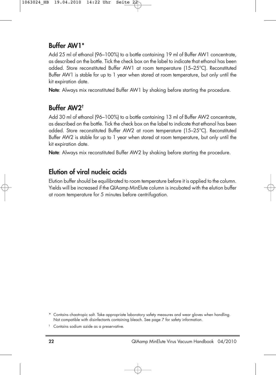### **Buffer AW1\***

Add 25 ml of ethanol (96–100%) to a bottle containing 19 ml of Buffer AW1 concentrate, as described on the bottle. Tick the check box on the label to indicate that ethanol has been added. Store reconstituted Buffer AW1 at room temperature (15–25°C). Reconstituted Buffer AW1 is stable for up to 1 year when stored at room temperature, but only until the kit expiration date.

**Note**: Always mix reconstituted Buffer AW1 by shaking before starting the procedure.

### **Buffer AW2†**

Add 30 ml of ethanol (96–100%) to a bottle containing 13 ml of Buffer AW2 concentrate, as described on the bottle. Tick the check box on the label to indicate that ethanol has been added. Store reconstituted Buffer AW2 at room temperature (15–25°C). Reconstituted Buffer AW2 is stable for up to 1 year when stored at room temperature, but only until the kit expiration date.

**Note**: Always mix reconstituted Buffer AW2 by shaking before starting the procedure.

### **Elution of viral nucleic acids**

Elution buffer should be equilibrated to room temperature before it is applied to the column. Yields will be increased if the QIAamp MinElute column is incubated with the elution buffer at room temperature for 5 minutes before centrifugation.

<sup>\*</sup> Contains chaotropic salt. Take appropriate laboratory safety measures and wear gloves when handling. Not compatible with disinfectants containing bleach. See page 7 for safety information.

<sup>†</sup> Contains sodium azide as a preservative.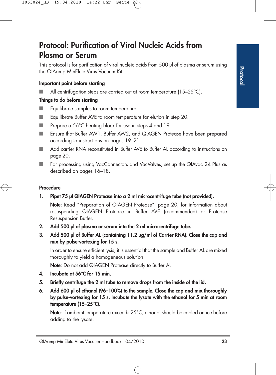## **Protocol: Purification of Viral Nucleic Acids from Plasma or Serum**

This protocol is for purification of viral nucleic acids from 500 µl of plasma or serum using the QIAamp MinElute Virus Vacuum Kit.

### **Important point before starting**

 $\blacksquare$  All centrifugation steps are carried out at room temperature (15–25 $^{\circ}$ C).

### **Things to do before starting**

- Equilibrate samples to room temperature.
- Equilibrate Buffer AVE to room temperature for elution in step 20.
- Prepare a 56°C heating block for use in steps 4 and 19.
- Ensure that Buffer AW1, Buffer AW2, and QIAGEN Protease have been prepared according to instructions on pages 19–21.
- Add carrier RNA reconstituted in Buffer AVE to Buffer AL according to instructions on page 20.
- For processing using VacConnectors and VacValves, set up the QIAvac 24 Plus as described on pages 16–18.

### **Procedure**

**1. Pipet 75 µl QIAGEN Protease into a 2 ml microcentrifuge tube (not provided).**

**Note**: Read "Preparation of QIAGEN Protease", page 20, for information about resuspending QIAGEN Protease in Buffer AVE (recommended) or Protease Resuspension Buffer.

- **2. Add 500 µl of plasma or serum into the 2 ml microcentrifuge tube.**
- **3. Add 500 µl of Buffer AL (containing 11.2 µg/ml of Carrier RNA). Close the cap and mix by pulse-vortexing for 15 s.**

In order to ensure efficient lysis, it is essential that the sample and Buffer AL are mixed thoroughly to yield a homogeneous solution.

**Note**: Do not add QIAGEN Protease directly to Buffer AL.

- **4. Incubate at 56°C for 15 min.**
- **5. Briefly centrifuge the 2 ml tube to remove drops from the inside of the lid.**
- **6. Add 600 µl of ethanol (96–100%) to the sample. Close the cap and mix thoroughly by pulse-vortexing for 15 s. Incubate the lysate with the ethanol for 5 min at room temperature (15–25°C).**

**Note**: If ambeint temperature exceeds 25°C, ethanol should be cooled on ice before adding to the lysate.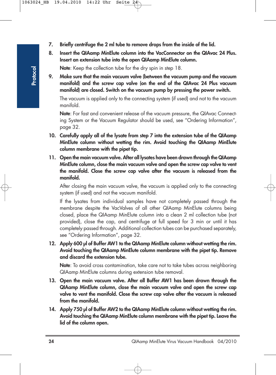- **7. Briefly centrifuge the 2 ml tube to remove drops from the inside of the lid.**
- **8. Insert the QIAamp MinElute column into the VacConnector on the QIAvac 24 Plus. Insert an extension tube into the open QIAamp MinElute column.**

**Note**: Keep the collection tube for the dry spin in step 18.

**9. Make sure that the main vacuum valve (between the vacuum pump and the vacuum manifold) and the screw cap valve (on the end of the QIAvac 24 Plus vacuum manifold) are closed. Switch on the vacuum pump by pressing the power switch.**

The vacuum is applied only to the connecting system (if used) and not to the vacuum manifold.

**Note**: For fast and convenient release of the vacuum pressure, the QIAvac Connecting System or the Vacuum Regulator should be used, see "Ordering Information", page 32.

- **10. Carefully apply all of the lysate from step 7 into the extension tube of the QIAamp MinElute column without wetting the rim. Avoid touching the QIAamp MinElute column membrane with the pipet tip.**
- **11. Open the main vacuum valve. After all lysates have been drawn through the QIAamp MinElute column, close the main vacuum valve and open the screw cap valve to vent the manifold. Close the screw cap valve after the vacuum is released from the manifold.**

After closing the main vacuum valve, the vacuum is applied only to the connecting system (if used) and not the vacuum manifold.

If the lysates from individual samples have not completely passed through the membrane despite the VacValves of all other QIAamp MinElute columns being closed, place the QIAamp MinElute column into a clean 2 ml collection tube (not provided), close the cap, and centrifuge at full speed for 3 min or until it has completely passed through. Additional collection tubes can be purchased separately, see "Ordering Information", page 32.

**12. Apply 600 µl of Buffer AW1 to the QIAamp MinElute column without wetting the rim. Avoid touching the QIAamp MinElute column membrane with the pipet tip. Remove and discard the extension tube.**

**Note**: To avoid cross contamination, take care not to take tubes across neighboring QIAamp MinElute columns during extension tube removal.

- **13. Open the main vacuum valve. After all Buffer AW1 has been drawn through the QIAamp MinElute column, close the main vacuum valve and open the screw cap valve to vent the manifold. Close the screw cap valve after the vacuum is released from the manifold.**
- **14. Apply 750 µl of Buffer AW2 to the QIAamp MinElute column without wetting the rim. Avoid touching the QIAamp MinElute column membrane with the pipet tip. Leave the lid of the column open.**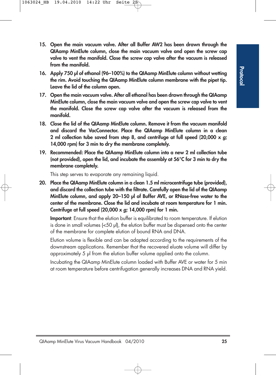- **15. Open the main vacuum valve. After all Buffer AW2 has been drawn through the QIAamp MinElute column, close the main vacuum valve and open the screw cap valve to vent the manifold. Close the screw cap valve after the vacuum is released from the manifold.**
- **16. Apply 750 µl of ethanol (96–100%) to the QIAamp MinElute column without wetting the rim. Avoid touching the QIAamp MinElute column membrane with the pipet tip. Leave the lid of the column open.**
- **17. Open the main vacuum valve. After all ethanol has been drawn through the QIAamp MinElute column, close the main vacuum valve and open the screw cap valve to vent the manifold. Close the screw cap valve after the vacuum is released from the manifold.**
- **18. Close the lid of the QIAamp MinElute column. Remove it from the vacuum manifold and discard the VacConnector. Place the QIAamp MinElute column in a clean 2 ml collection tube saved from step 8, and centrifuge at full speed (20,000 x g; 14,000 rpm) for 3 min to dry the membrane completely.**
- **19. Recommended: Place the QIAamp MinElute column into a new 2 ml collection tube (not provided), open the lid, and incubate the assembly at 56°C for 3 min to dry the membrane completely.**

This step serves to evaporate any remaining liquid.

**20. Place the QIAamp MinElute column in a clean 1.5 ml microcentrifuge tube (provided), and discard the collection tube with the filtrate. Carefully open the lid of the QIAamp MinElute column, and apply 20–150 µl of Buffer AVE, or RNase-free water to the center of the membrane. Close the lid and incubate at room temperature for 1 min. Centrifuge at full speed (20,000 x g; 14,000 rpm) for 1 min.**

**Important**: Ensure that the elution buffer is equilibrated to room temperature. If elution is done in small volumes (<50 µl), the elution buffer must be dispensed onto the center of the membrane for complete elution of bound RNA and DNA.

Elution volume is flexible and can be adapted according to the requirements of the downstream applications. Remember that the recovered eluate volume will differ by approximately 5 µl from the elution buffer volume applied onto the column.

Incubating the QIAamp MinElute column loaded with Buffer AVE or water for 5 min at room temperature before centrifugation generally increases DNA and RNA yield.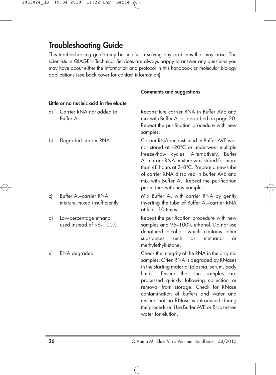## **Troubleshooting Guide**

This troubleshooting guide may be helpful in solving any problems that may arise. The scientists in QIAGEN Technical Services are always happy to answer any questions you may have about either the information and protocol in this handbook or molecular biology applications (see back cover for contact information).

|              |                                                              | <b>Comments and suggestions</b>                                                                                                                                                                                                                                                                                                                                                                                                          |
|--------------|--------------------------------------------------------------|------------------------------------------------------------------------------------------------------------------------------------------------------------------------------------------------------------------------------------------------------------------------------------------------------------------------------------------------------------------------------------------------------------------------------------------|
|              | Little or no nucleic acid in the eluate                      |                                                                                                                                                                                                                                                                                                                                                                                                                                          |
| a)           | Carrier RNA not added to<br><b>Buffer AL</b>                 | Reconstitute carrier RNA in Buffer AVE and<br>mix with Buffer AL as described on page 20.<br>Repeat the purification procedure with new<br>samples.                                                                                                                                                                                                                                                                                      |
| $\mathsf{b}$ | Degraded carrier RNA                                         | Carrier RNA reconstituted in Buffer AVE was<br>not stored at -20°C or underwent multiple<br>freeze-thaw cycles. Alternatively, Buffer<br>AL-carrier RNA mixture was stored for more<br>than 48 hours at 2-8°C. Prepare a new tube<br>of carrier RNA dissolved in Buffer AVE and<br>mix with Buffer AL. Repeat the purification<br>procedure with new samples.                                                                            |
| c)           | <b>Buffer AL-carrier RNA</b><br>mixture mixed insufficiently | Mix Buffer AL with carrier RNA by gently<br>inverting the tube of Buffer AL-carrier RNA<br>at least 10 times.                                                                                                                                                                                                                                                                                                                            |
| d)           | Low-percentage ethanol<br>used instead of 96-100%            | Repeat the purification procedure with new<br>samples and 96-100% ethanol. Do not use<br>denatured alcohol, which contains other<br>methanol<br>substances<br>such<br>as<br>or<br>methylethylketone.                                                                                                                                                                                                                                     |
| e)           | RNA degraded                                                 | Check the integrity of the RNA in the original<br>samples. Often RNA is degraded by RNases<br>in the starting material (plasma, serum, body<br>fluids). Ensure that the samples<br>are<br>processed quickly following collection or<br>removal from storage. Check for RNase<br>contamination of buffers and water and<br>ensure that no RNase is introduced during<br>the procedure. Use Buffer AVE or RNase-free<br>water for elution. |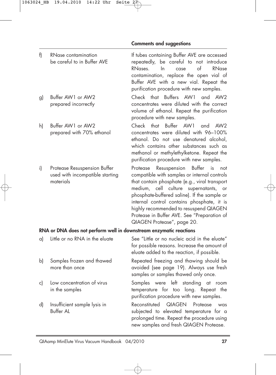f) RNase contamination If tubes containing Buffer AVE are accessed be careful to in Buffer AVE repeatedly, be careful to not introduce RNases. In case of RNase contamination, replace the open vial of Buffer AVE with a new vial. Repeat the purification procedure with new samples. g) Buffer AW1 or AW2 Check that Buffers AW1 and AW2 prepared incorrectly concentrates were diluted with the correct volume of ethanol. Repeat the purification procedure with new samples. h) Buffer AW1 or AW2 Check that Buffer AW1 and AW2 prepared with 70% ethanol concentrates were diluted with 96–100% ethanol. Do not use denatured alcohol, which contains other substances such as methanol or methylethylketone. Repeat the purification procedure with new samples. i) Protease Resuspension Buffer Protease Resuspension Buffer is not used with incompatible starting compatible with samples or internal controls materials that contain phosphate (e.g., viral transport medium, cell culture supernatants, or phosphate-buffered saline). If the sample or internal control contains phosphate, it is highly recommended to resuspend QIAGEN Protease in Buffer AVE. See "Preparation of QIAGEN Protease", page 20. **RNA or DNA does not perform well in downstream enzymatic reactions** a) Little or no RNA in the eluate See "Little or no nucleic acid in the eluate" for possible reasons. Increase the amount of eluate added to the reaction, if possible. b) Samples frozen and thawed Repeated freezing and thawing should be more than once and avoided (see page 19). Always use fresh samples or samples thawed only once. c) Low concentration of virus Samples were left standing at room in the samples temperature for too long. Repeat the purification procedure with new samples. d) Insufficient sample lysis in Reconstituted QIAGEN Protease was Buffer AL **Subjected** to elevated temperature for a prolonged time. Repeat the procedure using new samples and fresh QIAGEN Protease.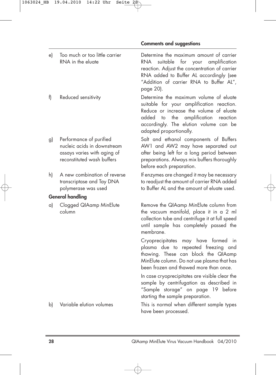| e) | Too much or too little carrier<br>RNA in the eluate                                                                 | Determine the maximum amount of carrier<br>RNA.<br>suitable for your amplification<br>reaction. Adjust the concentration of carrier<br>RNA added to Buffer AL accordingly (see<br>"Addition of carrier RNA to Buffer AL",<br>page 20).                 |
|----|---------------------------------------------------------------------------------------------------------------------|--------------------------------------------------------------------------------------------------------------------------------------------------------------------------------------------------------------------------------------------------------|
| f) | Reduced sensitivity                                                                                                 | Determine the maximum volume of eluate<br>suitable for your amplification reaction.<br>Reduce or increase the volume of eluate<br>the<br>amplification<br>added<br>to<br>reaction<br>accordingly. The elution volume can be<br>adapted proportionally. |
| g) | Performance of purified<br>nucleic acids in downstream<br>assays varies with aging of<br>reconstituted wash buffers | Salt and ethanol components of Buffers<br>AW1 and AW2 may have separated out<br>after being left for a long period between<br>preparations. Always mix buffers thoroughly<br>before each preparation.                                                  |
| h) | A new combination of reverse<br>transcriptase and Tay DNA<br>polymerase was used                                    | If enzymes are changed it may be necessary<br>to readjust the amount of carrier RNA added<br>to Buffer AL and the amount of eluate used.                                                                                                               |
|    | <b>General handling</b>                                                                                             |                                                                                                                                                                                                                                                        |
| a) | Clogged QIAamp MinElute<br>column                                                                                   | Remove the QIAamp MinElute column from<br>the vacuum manifold, place it in a 2 ml<br>collection tube and centrifuge it at full speed<br>until sample has completely passed the<br>membrane.                                                            |
|    |                                                                                                                     | Cryoprecipitates may have formed<br>in<br>plasma due to repeated freezing and<br>thawing. These can block the QIAamp<br>MinElute column. Do not use plasma that has<br>been frozen and thawed more than once.                                          |
|    |                                                                                                                     | In case cryoprecipitates are visible clear the<br>sample by centrifugation as described in<br>"Sample storage" on page 19 before<br>starting the sample preparation.                                                                                   |
| b) | Variable elution volumes                                                                                            | This is normal when different sample types<br>have been processed.                                                                                                                                                                                     |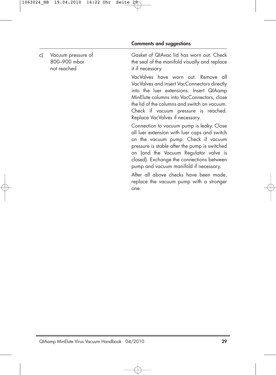#### **Comments and suggestions**

not reached it if necessary.

c) Vacuum pressure of Gasket of QIAvac lid has worn out. Check 800–900 mbar the seal of the manifold visually and replace

> VacValves have worn out. Remove all VacValves and insert VacConnectors directly into the luer extensions. Insert QIAamp MinElute columns into VacConnectors, close the lid of the columns and switch on vacuum. Check if vacuum pressure is reached. Replace VacValves if necessary.

> Connection to vacuum pump is leaky. Close all luer extension with luer caps and switch on the vacuum pump. Check if vacuum pressure is stable after the pump is switched on (and the Vacuum Regulator valve is closed). Exchange the connections between pump and vacuum manifold if necessary.

> After all above checks have been made, replace the vacuum pump with a stronger one.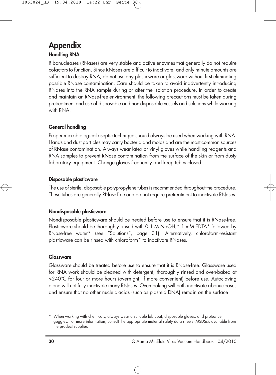# **Appendix**

### **Handling RNA**

Ribonucleases (RNases) are very stable and active enzymes that generally do not require cofactors to function. Since RNases are difficult to inactivate, and only minute amounts are sufficient to destroy RNA, do not use any plasticware or glassware without first eliminating possible RNase contamination. Care should be taken to avoid inadvertently introducing RNases into the RNA sample during or after the isolation procedure. In order to create and maintain an RNase-free environment, the following precautions must be taken during pretreatment and use of disposable and non-disposable vessels and solutions while working with RNA.

### **General handling**

Proper microbiological aseptic technique should always be used when working with RNA. Hands and dust particles may carry bacteria and molds and are the most common sources of RNase contamination. Always wear latex or vinyl gloves while handling reagents and RNA samples to prevent RNase contamination from the surface of the skin or from dusty laboratory equipment. Change gloves frequently and keep tubes closed.

#### **Disposable plasticware**

The use of sterile, disposable polypropylene tubes is recommended throughout the procedure. These tubes are generally RNase-free and do not require pretreatment to inactivate RNases.

#### **Nondisposable plasticware**

Nondisposable plasticware should be treated before use to ensure that it is RNase-free. Plasticware should be thoroughly rinsed with 0.1 M NaOH,\* 1 mM EDTA\* followed by RNase-free water\* (see "Solutions", page 31). Alternatively, chloroform-resistant plasticware can be rinsed with chloroform\* to inactivate RNases.

#### **Glassware**

Glassware should be treated before use to ensure that it is RNase-free. Glassware used for RNA work should be cleaned with detergent, thoroughly rinsed and oven-baked at >240°C for four or more hours (overnight, if more convenient) before use. Autoclaving alone will not fully inactivate many RNases. Oven baking will both inactivate ribonucleases and ensure that no other nucleic acids (such as plasmid DNA) remain on the surface

<sup>\*</sup> When working with chemicals, always wear a suitable lab coat, disposable gloves, and protective goggles. For more information, consult the appropriate material safety data sheets (MSDSs), available from the product supplier.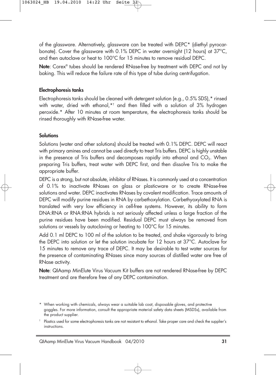of the glassware. Alternatively, glassware can be treated with DEPC\* (diethyl pyrocarbonate). Cover the glassware with 0.1% DEPC in water overnight (12 hours) at 37°C, and then autoclave or heat to 100°C for 15 minutes to remove residual DEPC.

**Note**: Corex® tubes should be rendered RNase-free by treatment with DEPC and not by baking. This will reduce the failure rate of this type of tube during centrifugation.

#### **Electrophoresis tanks**

Electrophoresis tanks should be cleaned with detergent solution (e.g., 0.5% SDS),\* rinsed with water, dried with ethanol,\*† and then filled with a solution of 3% hydrogen peroxide.\* After 10 minutes at room temperature, the electrophoresis tanks should be rinsed thoroughly with RNase-free water.

### **Solutions**

Solutions (water and other solutions) should be treated with 0.1% DEPC. DEPC will react with primary amines and cannot be used directly to treat Tris buffers. DEPC is highly unstable in the presence of Tris buffers and decomposes rapidly into ethanol and  $CO<sub>2</sub>$ . When preparing Tris buffers, treat water with DEPC first, and then dissolve Tris to make the appropriate buffer.

DEPC is a strong, but not absolute, inhibitor of RNases. It is commonly used at a concentration of 0.1% to inactivate RNases on glass or plasticware or to create RNase-free solutions and water. DEPC inactivates RNases by covalent modification. Trace amounts of DEPC will modify purine residues in RNA by carbethoxylation. Carbethyoxylated RNA is translated with very low efficiency in cell-free systems. However, its ability to form DNA:RNA or RNA:RNA hybrids is not seriously affected unless a large fraction of the purine residues have been modified. Residual DEPC must always be removed from solutions or vessels by autoclaving or heating to 100°C for 15 minutes.

Add 0.1 ml DEPC to 100 ml of the solution to be treated, and shake vigorously to bring the DEPC into solution or let the solution incubate for 12 hours at 37°C. Autoclave for 15 minutes to remove any trace of DEPC. It may be desirable to test water sources for the presence of contaminating RNases since many sources of distilled water are free of RNase activity.

**Note**: QIAamp MinElute Virus Vacuum Kit buffers are not rendered RNase-free by DEPC treatment and are therefore free of any DEPC contamination.

<sup>\*</sup> When working with chemicals, always wear a suitable lab coat, disposable gloves, and protective goggles. For more information, consult the appropriate material safety data sheets (MSDSs), available from the product supplier.

<sup>†</sup> Plastics used for some electrophoresis tanks are not resistant to ethanol. Take proper care and check the supplier's instructions.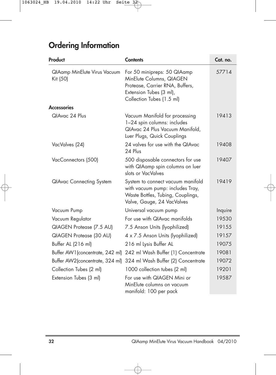# **Ordering Information**

| Product                                         | <b>Contents</b>                                                                                                                                    | Cat. no. |
|-------------------------------------------------|----------------------------------------------------------------------------------------------------------------------------------------------------|----------|
| <b>QIAamp MinElute Virus Vacuum</b><br>Kit (50) | For 50 minipreps: 50 QIAamp<br>MinElute Columns, QIAGEN<br>Protease, Carrier RNA, Buffers,<br>Extension Tubes (3 ml),<br>Collection Tubes (1.5 ml) | 57714    |
| <b>Accessories</b>                              |                                                                                                                                                    |          |
| QIAvac 24 Plus                                  | Vacuum Manifold for processing<br>1-24 spin columns: includes<br>QIAvac 24 Plus Vacuum Manifold,<br>Luer Plugs, Quick Couplings                    | 19413    |
| VacValves (24)                                  | 24 valves for use with the QIAvac<br>24 Plus                                                                                                       | 19408    |
| VacConnectors (500)                             | 500 disposable connectors for use<br>with QIAamp spin columns on luer<br>slots or VacValves                                                        | 19407    |
| <b>QIAvac Connecting System</b>                 | System to connect vacuum manifold<br>with vacuum pump: includes Tray,<br>Waste Bottles, Tubing, Couplings,<br>Valve, Gauge, 24 VacValves           | 19419    |
| Vacuum Pump                                     | Universal vacuum pump                                                                                                                              | Inquire  |
| Vacuum Regulator                                | For use with QIAvac manifolds                                                                                                                      | 19530    |
| QIAGEN Protease (7.5 AU)                        | 7.5 Anson Units (lyophilized)                                                                                                                      | 19155    |
| QIAGEN Protease (30 AU)                         | 4 x 7.5 Anson Units (lyophilized)                                                                                                                  | 19157    |
| Buffer AL (216 ml)                              | 216 ml Lysis Buffer AL                                                                                                                             | 19075    |
| Buffer AW1 (concentrate, 242 ml)                | 242 ml Wash Buffer (1) Concentrate                                                                                                                 | 19081    |
| Buffer AW2(concentrate, 324 ml)                 | 324 ml Wash Buffer (2) Concentrate                                                                                                                 | 19072    |
| Collection Tubes (2 ml)                         | 1000 collection tubes (2 ml)                                                                                                                       | 19201    |
| Extension Tubes (3 ml)                          | For use with QIAGEN Mini or<br>MinElute columns on vacuum<br>manifold: 100 per pack                                                                | 19587    |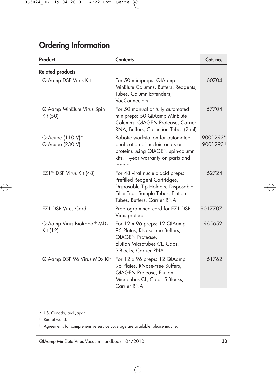## **Ordering Information**

| Product                                          | <b>Contents</b>                                                                                                                                                              | Cat. no.                         |
|--------------------------------------------------|------------------------------------------------------------------------------------------------------------------------------------------------------------------------------|----------------------------------|
| <b>Related products</b>                          |                                                                                                                                                                              |                                  |
| <b>QIAamp DSP Virus Kit</b>                      | For 50 minipreps: QIAamp<br>MinElute Columns, Buffers, Reagents,<br>Tubes, Column Extenders,<br>VacConnectors                                                                | 60704                            |
| <b>QIAamp MinElute Virus Spin</b><br>Kit (50)    | For 50 manual or fully automated<br>minipreps: 50 QIAamp MinElute<br>Columns, QIAGEN Protease, Carrier<br>RNA, Buffers, Collection Tubes (2 ml)                              | 57704                            |
| QIAcube (110 V)*<br>QIAcube (230 V) <sup>t</sup> | Robotic workstation for automated<br>purification of nucleic acids or<br>proteins using QIAGEN spin-column<br>kits, 1-year warranty on parts and<br>labor <sup>#</sup>       | 9001292*<br>9001293 <sup>t</sup> |
| EZ1™ DSP Virus Kit (48)                          | For 48 viral nucleic acid preps:<br>Prefilled Reagent Cartridges,<br>Disposable Tip Holders, Disposable<br>Filter-Tips, Sample Tubes, Elution<br>Tubes, Buffers, Carrier RNA | 62724                            |
| <b>EZ1 DSP Virus Card</b>                        | Preprogrammed card for EZ1 DSP<br>Virus protocol                                                                                                                             | 9017707                          |
| QIAamp Virus BioRobot® MDx<br>Kit (12)           | For 12 x 96 preps: 12 QIAamp<br>96 Plates, RNase-free Buffers,<br><b>QIAGEN Protease,</b><br>Elution Microtubes CL, Caps,<br>S-Blocks, Carrier RNA                           | 965652                           |
| QIAamp DSP 96 Virus MDx Kit                      | For 12 x 96 preps: 12 QIAamp<br>96 Plates, RNase-Free Buffers,<br><b>QIAGEN Protease, Elution</b><br>Microtubes CL, Caps, S-Blocks,<br>Carrier RNA                           | 61762                            |

\* US, Canada, and Japan.

† Rest of world.

‡ Agreements for comprehensive service coverage are available; please inquire.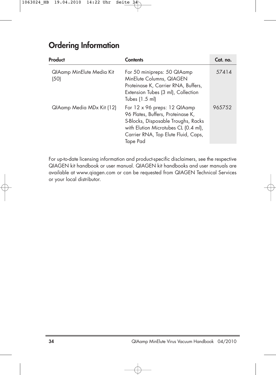## **Ordering Information**

| Product                           | <b>Contents</b>                                                                                                                                                                                     | Cat. no. |
|-----------------------------------|-----------------------------------------------------------------------------------------------------------------------------------------------------------------------------------------------------|----------|
| QIAamp MinElute Media Kit<br>(50) | For 50 minipreps: 50 QIAamp<br>MinElute Columns, QIAGEN<br>Proteinase K, Carrier RNA, Buffers,<br>Extension Tubes (3 ml), Collection<br>Tubes (1.5 ml)                                              | 57414    |
| QIAamp Media MDx Kit (12)         | For 12 x 96 preps: 12 QIAamp<br>96 Plates, Buffers, Proteinase K,<br>S-Blocks, Disposable Troughs, Racks<br>with Elution Microtubes CL (0.4 ml),<br>Carrier RNA, Top Elute Fluid, Caps,<br>Tape Pad | 965752   |

For up-to-date licensing information and product-specific disclaimers, see the respective QIAGEN kit handbook or user manual. QIAGEN kit handbooks and user manuals are available at www.qiagen.com or can be requested from QIAGEN Technical Services or your local distributor.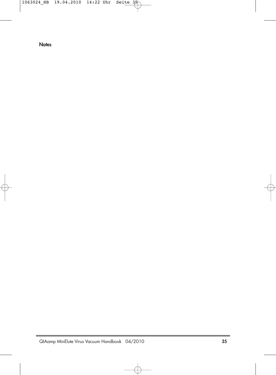**Notes**